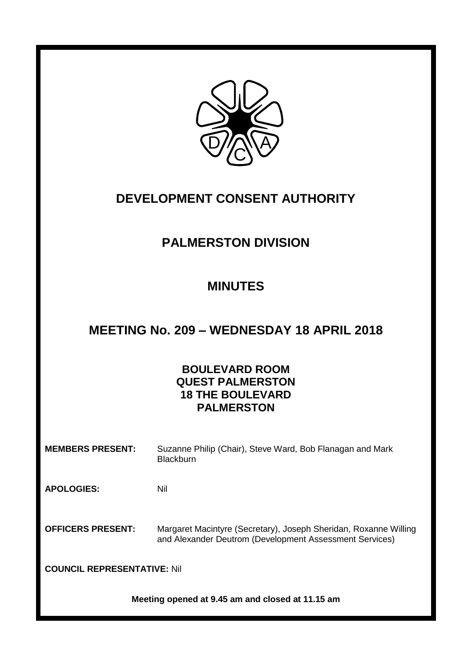

# **DEVELOPMENT CONSENT AUTHORITY**

# **PALMERSTON DIVISION**

# **MINUTES**

# **MEETING No. 209 – WEDNESDAY 18 APRIL 2018**

# **BOULEVARD ROOM QUEST PALMERSTON 18 THE BOULEVARD PALMERSTON**

**MEMBERS PRESENT:** Suzanne Philip (Chair), Steve Ward, Bob Flanagan and Mark **Blackburn** 

**APOLOGIES:** Nil

**OFFICERS PRESENT:** Margaret Macintyre (Secretary), Joseph Sheridan, Roxanne Willing and Alexander Deutrom (Development Assessment Services)

**COUNCIL REPRESENTATIVE:** Nil

**Meeting opened at 9.45 am and closed at 11.15 am**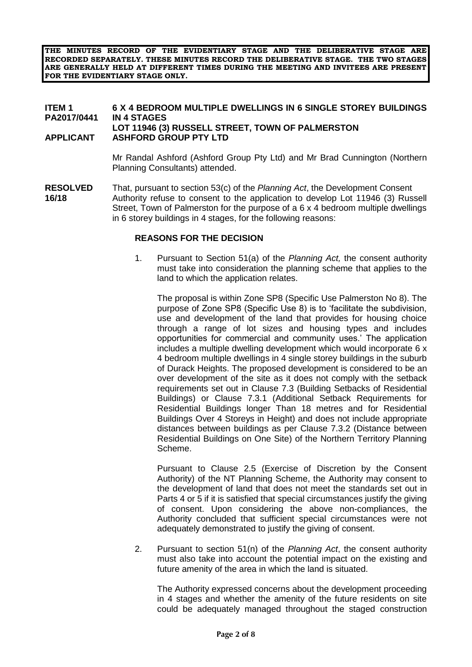**THE MINUTES RECORD OF THE EVIDENTIARY STAGE AND THE DELIBERATIVE STAGE ARE RECORDED SEPARATELY. THESE MINUTES RECORD THE DELIBERATIVE STAGE. THE TWO STAGES ARE GENERALLY HELD AT DIFFERENT TIMES DURING THE MEETING AND INVITEES ARE PRESENT FOR THE EVIDENTIARY STAGE ONLY.**

# **ITEM 1 6 X 4 BEDROOM MULTIPLE DWELLINGS IN 6 SINGLE STOREY BUILDINGS PA2017/0441 IN 4 STAGES LOT 11946 (3) RUSSELL STREET, TOWN OF PALMERSTON**

#### **APPLICANT ASHFORD GROUP PTY LTD**

Mr Randal Ashford (Ashford Group Pty Ltd) and Mr Brad Cunnington (Northern Planning Consultants) attended.

**RESOLVED** That, pursuant to section 53(c) of the *Planning Act*, the Development Consent **16/18** Authority refuse to consent to the application to develop Lot 11946 (3) Russell Street, Town of Palmerston for the purpose of a 6 x 4 bedroom multiple dwellings in 6 storey buildings in 4 stages, for the following reasons:

### **REASONS FOR THE DECISION**

1. Pursuant to Section 51(a) of the *Planning Act,* the consent authority must take into consideration the planning scheme that applies to the land to which the application relates.

The proposal is within Zone SP8 (Specific Use Palmerston No 8). The purpose of Zone SP8 (Specific Use 8) is to 'facilitate the subdivision, use and development of the land that provides for housing choice through a range of lot sizes and housing types and includes opportunities for commercial and community uses.' The application includes a multiple dwelling development which would incorporate 6 x 4 bedroom multiple dwellings in 4 single storey buildings in the suburb of Durack Heights. The proposed development is considered to be an over development of the site as it does not comply with the setback requirements set out in Clause 7.3 (Building Setbacks of Residential Buildings) or Clause 7.3.1 (Additional Setback Requirements for Residential Buildings longer Than 18 metres and for Residential Buildings Over 4 Storeys in Height) and does not include appropriate distances between buildings as per Clause 7.3.2 (Distance between Residential Buildings on One Site) of the Northern Territory Planning Scheme.

Pursuant to Clause 2.5 (Exercise of Discretion by the Consent Authority) of the NT Planning Scheme, the Authority may consent to the development of land that does not meet the standards set out in Parts 4 or 5 if it is satisfied that special circumstances justify the giving of consent. Upon considering the above non-compliances, the Authority concluded that sufficient special circumstances were not adequately demonstrated to justify the giving of consent.

2. Pursuant to section 51(n) of the *Planning Act*, the consent authority must also take into account the potential impact on the existing and future amenity of the area in which the land is situated.

The Authority expressed concerns about the development proceeding in 4 stages and whether the amenity of the future residents on site could be adequately managed throughout the staged construction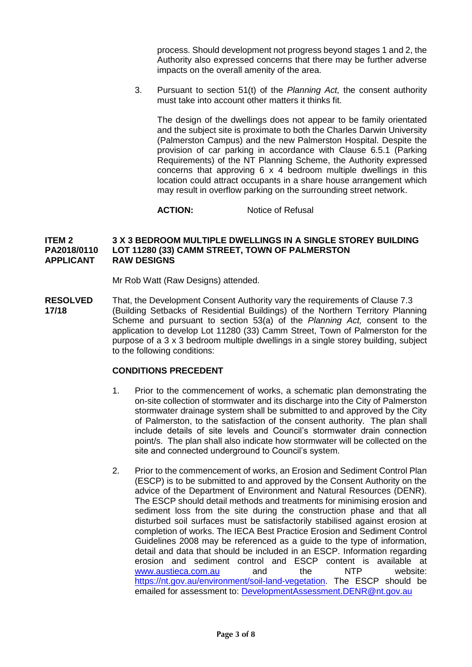process. Should development not progress beyond stages 1 and 2, the Authority also expressed concerns that there may be further adverse impacts on the overall amenity of the area.

3. Pursuant to section 51(t) of the *Planning Act,* the consent authority must take into account other matters it thinks fit.

The design of the dwellings does not appear to be family orientated and the subject site is proximate to both the Charles Darwin University (Palmerston Campus) and the new Palmerston Hospital. Despite the provision of car parking in accordance with Clause 6.5.1 (Parking Requirements) of the NT Planning Scheme, the Authority expressed concerns that approving 6 x 4 bedroom multiple dwellings in this location could attract occupants in a share house arrangement which may result in overflow parking on the surrounding street network.

**ACTION:** Notice of Refusal

#### **ITEM 2 3 X 3 BEDROOM MULTIPLE DWELLINGS IN A SINGLE STOREY BUILDING PA2018/0110 LOT 11280 (33) CAMM STREET, TOWN OF PALMERSTON RAW DESIGNS**

Mr Rob Watt (Raw Designs) attended.

**RESOLVED** That, the Development Consent Authority vary the requirements of Clause 7.3 **17/18** (Building Setbacks of Residential Buildings) of the Northern Territory Planning Scheme and pursuant to section 53(a) of the *Planning Act,* consent to the application to develop Lot 11280 (33) Camm Street, Town of Palmerston for the purpose of a 3 x 3 bedroom multiple dwellings in a single storey building, subject to the following conditions:

### **CONDITIONS PRECEDENT**

- 1. Prior to the commencement of works, a schematic plan demonstrating the on-site collection of stormwater and its discharge into the City of Palmerston stormwater drainage system shall be submitted to and approved by the City of Palmerston, to the satisfaction of the consent authority. The plan shall include details of site levels and Council's stormwater drain connection point/s. The plan shall also indicate how stormwater will be collected on the site and connected underground to Council's system.
- 2. Prior to the commencement of works, an Erosion and Sediment Control Plan (ESCP) is to be submitted to and approved by the Consent Authority on the advice of the Department of Environment and Natural Resources (DENR). The ESCP should detail methods and treatments for minimising erosion and sediment loss from the site during the construction phase and that all disturbed soil surfaces must be satisfactorily stabilised against erosion at completion of works. The IECA Best Practice Erosion and Sediment Control Guidelines 2008 may be referenced as a guide to the type of information, detail and data that should be included in an ESCP. Information regarding erosion and sediment control and ESCP content is available at [www.austieca.com.au](http://www.austieca.com.au/) and the NTP website: [https://nt.gov.au/environment/soil-land-vegetation.](https://nt.gov.au/environment/soil-land-vegetation) The ESCP should be emailed for assessment to: [DevelopmentAssessment.DENR@nt.gov.au](mailto:DevelopmentAssessment.DENR@nt.gov.au)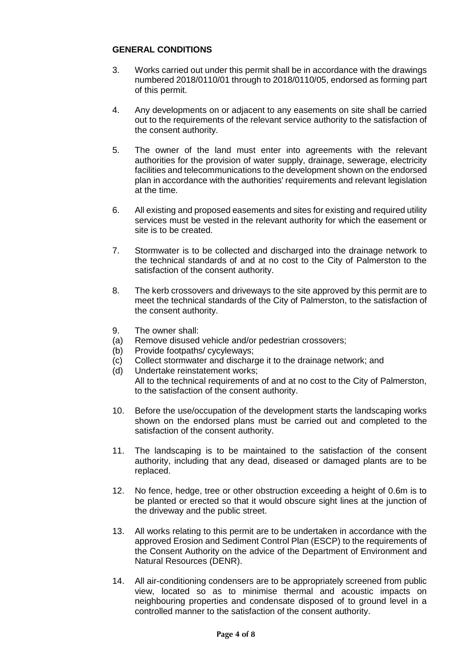# **GENERAL CONDITIONS**

- 3. Works carried out under this permit shall be in accordance with the drawings numbered 2018/0110/01 through to 2018/0110/05, endorsed as forming part of this permit.
- 4. Any developments on or adjacent to any easements on site shall be carried out to the requirements of the relevant service authority to the satisfaction of the consent authority.
- 5. The owner of the land must enter into agreements with the relevant authorities for the provision of water supply, drainage, sewerage, electricity facilities and telecommunications to the development shown on the endorsed plan in accordance with the authorities' requirements and relevant legislation at the time.
- 6. All existing and proposed easements and sites for existing and required utility services must be vested in the relevant authority for which the easement or site is to be created.
- 7. Stormwater is to be collected and discharged into the drainage network to the technical standards of and at no cost to the City of Palmerston to the satisfaction of the consent authority.
- 8. The kerb crossovers and driveways to the site approved by this permit are to meet the technical standards of the City of Palmerston, to the satisfaction of the consent authority.
- 9. The owner shall:
- (a) Remove disused vehicle and/or pedestrian crossovers;
- (b) Provide footpaths/ cycyleways;
- (c) Collect stormwater and discharge it to the drainage network; and
- (d) Undertake reinstatement works; All to the technical requirements of and at no cost to the City of Palmerston, to the satisfaction of the consent authority.
- 10. Before the use/occupation of the development starts the landscaping works shown on the endorsed plans must be carried out and completed to the satisfaction of the consent authority.
- 11. The landscaping is to be maintained to the satisfaction of the consent authority, including that any dead, diseased or damaged plants are to be replaced.
- 12. No fence, hedge, tree or other obstruction exceeding a height of 0.6m is to be planted or erected so that it would obscure sight lines at the junction of the driveway and the public street.
- 13. All works relating to this permit are to be undertaken in accordance with the approved Erosion and Sediment Control Plan (ESCP) to the requirements of the Consent Authority on the advice of the Department of Environment and Natural Resources (DENR).
- 14. All air-conditioning condensers are to be appropriately screened from public view, located so as to minimise thermal and acoustic impacts on neighbouring properties and condensate disposed of to ground level in a controlled manner to the satisfaction of the consent authority.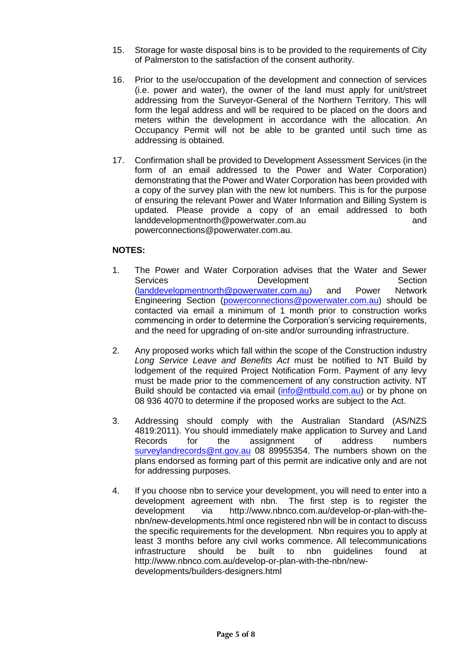- 15. Storage for waste disposal bins is to be provided to the requirements of City of Palmerston to the satisfaction of the consent authority.
- 16. Prior to the use/occupation of the development and connection of services (i.e. power and water), the owner of the land must apply for unit/street addressing from the Surveyor-General of the Northern Territory. This will form the legal address and will be required to be placed on the doors and meters within the development in accordance with the allocation. An Occupancy Permit will not be able to be granted until such time as addressing is obtained.
- 17. Confirmation shall be provided to Development Assessment Services (in the form of an email addressed to the Power and Water Corporation) demonstrating that the Power and Water Corporation has been provided with a copy of the survey plan with the new lot numbers. This is for the purpose of ensuring the relevant Power and Water Information and Billing System is updated. Please provide a copy of an email addressed to both landdevelopmentnorth@powerwater.com.au and [powerconnections@powerwater.com.au.](mailto:powerconnections@powerwater.com.au)

# **NOTES:**

- 1. The Power and Water Corporation advises that the Water and Sewer Services **Development** Section<br>
(landdevelopmentnorth@powerwater.com.au) and Power Network [\(landdevelopmentnorth@powerwater.com.au\)](mailto:landdevelopmentnorth@powerwater.com.au) and Power Engineering Section [\(powerconnections@powerwater.com.au\)](mailto:powerconnections@powerwater.com.au) should be contacted via email a minimum of 1 month prior to construction works commencing in order to determine the Corporation's servicing requirements, and the need for upgrading of on-site and/or surrounding infrastructure.
- 2. Any proposed works which fall within the scope of the Construction industry *Long Service Leave and Benefits Act* must be notified to NT Build by lodgement of the required Project Notification Form. Payment of any levy must be made prior to the commencement of any construction activity. NT Build should be contacted via email [\(info@ntbuild.com.au\)](mailto:info@ntbuild.com.au) or by phone on 08 936 4070 to determine if the proposed works are subject to the Act.
- 3. Addressing should comply with the Australian Standard (AS/NZS 4819:2011). You should immediately make application to Survey and Land Records for the assignment of address numbers [surveylandrecords@nt.gov.au](mailto:surveylandrecords@nt.gov.au) 08 89955354. The numbers shown on the plans endorsed as forming part of this permit are indicative only and are not for addressing purposes.
- 4. If you choose nbn to service your development, you will need to enter into a development agreement with nbn. The first step is to register the development via [http://www.nbnco.com.au/develop-or-plan-with-the](http://www.nbnco.com.au/develop-or-plan-with-the-nbn/new-developments.html)[nbn/new-developments.html](http://www.nbnco.com.au/develop-or-plan-with-the-nbn/new-developments.html) once registered nbn will be in contact to discuss the specific requirements for the development. Nbn requires you to apply at least 3 months before any civil works commence. All telecommunications infrastructure should be built to nbn guidelines found at [http://www.nbnco.com.au/develop-or-plan-with-the-nbn/new](http://www.nbnco.com.au/develop-or-plan-with-the-nbn/new-developments/builders-designers.html)[developments/builders-designers.html](http://www.nbnco.com.au/develop-or-plan-with-the-nbn/new-developments/builders-designers.html)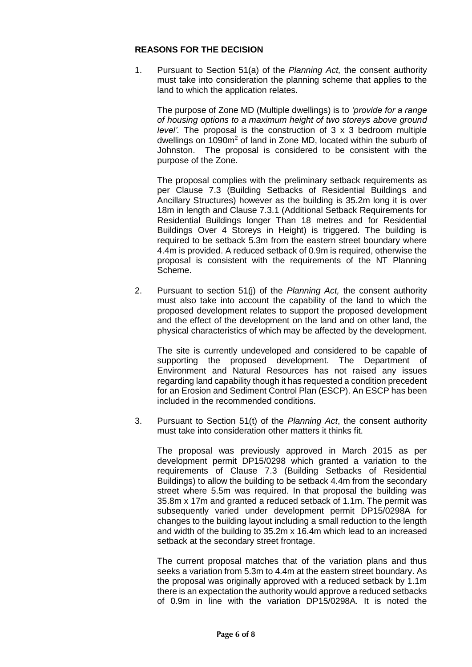#### **REASONS FOR THE DECISION**

1. Pursuant to Section 51(a) of the *Planning Act,* the consent authority must take into consideration the planning scheme that applies to the land to which the application relates.

The purpose of Zone MD (Multiple dwellings) is to *'provide for a range of housing options to a maximum height of two storeys above ground level'.* The proposal is the construction of 3 x 3 bedroom multiple dwellings on 1090m<sup>2</sup> of land in Zone MD, located within the suburb of Johnston. The proposal is considered to be consistent with the purpose of the Zone.

The proposal complies with the preliminary setback requirements as per Clause 7.3 (Building Setbacks of Residential Buildings and Ancillary Structures) however as the building is 35.2m long it is over 18m in length and Clause 7.3.1 (Additional Setback Requirements for Residential Buildings longer Than 18 metres and for Residential Buildings Over 4 Storeys in Height) is triggered. The building is required to be setback 5.3m from the eastern street boundary where 4.4m is provided. A reduced setback of 0.9m is required, otherwise the proposal is consistent with the requirements of the NT Planning Scheme.

2. Pursuant to section 51(j) of the *Planning Act,* the consent authority must also take into account the capability of the land to which the proposed development relates to support the proposed development and the effect of the development on the land and on other land, the physical characteristics of which may be affected by the development.

The site is currently undeveloped and considered to be capable of supporting the proposed development. The Department of Environment and Natural Resources has not raised any issues regarding land capability though it has requested a condition precedent for an Erosion and Sediment Control Plan (ESCP). An ESCP has been included in the recommended conditions.

3. Pursuant to Section 51(t) of the *Planning Act*, the consent authority must take into consideration other matters it thinks fit.

The proposal was previously approved in March 2015 as per development permit DP15/0298 which granted a variation to the requirements of Clause 7.3 (Building Setbacks of Residential Buildings) to allow the building to be setback 4.4m from the secondary street where 5.5m was required. In that proposal the building was 35.8m x 17m and granted a reduced setback of 1.1m. The permit was subsequently varied under development permit DP15/0298A for changes to the building layout including a small reduction to the length and width of the building to 35.2m x 16.4m which lead to an increased setback at the secondary street frontage.

The current proposal matches that of the variation plans and thus seeks a variation from 5.3m to 4.4m at the eastern street boundary. As the proposal was originally approved with a reduced setback by 1.1m there is an expectation the authority would approve a reduced setbacks of 0.9m in line with the variation DP15/0298A. It is noted the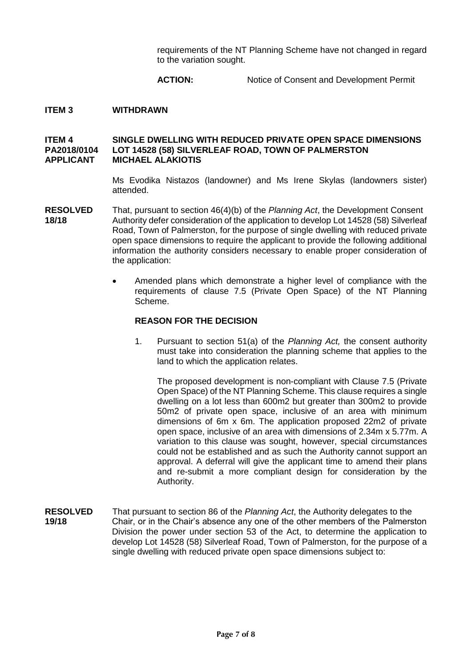requirements of the NT Planning Scheme have not changed in regard to the variation sought.

#### **ACTION:** Notice of Consent and Development Permit

### **ITEM 3 WITHDRAWN**

#### **ITEM 4 SINGLE DWELLING WITH REDUCED PRIVATE OPEN SPACE DIMENSIONS PA2018/0104 LOT 14528 (58) SILVERLEAF ROAD, TOWN OF PALMERSTON APPLICANT MICHAEL ALAKIOTIS**

Ms Evodika Nistazos (landowner) and Ms Irene Skylas (landowners sister) attended.

- **RESOLVED** That, pursuant to section 46(4)(b) of the *Planning Act*, the Development Consent **18/18** Authority defer consideration of the application to develop Lot 14528 (58) Silverleaf Road, Town of Palmerston, for the purpose of single dwelling with reduced private open space dimensions to require the applicant to provide the following additional information the authority considers necessary to enable proper consideration of the application:
	- Amended plans which demonstrate a higher level of compliance with the requirements of clause 7.5 (Private Open Space) of the NT Planning Scheme.

#### **REASON FOR THE DECISION**

1. Pursuant to section 51(a) of the *Planning Act,* the consent authority must take into consideration the planning scheme that applies to the land to which the application relates.

The proposed development is non-compliant with Clause 7.5 (Private Open Space) of the NT Planning Scheme. This clause requires a single dwelling on a lot less than 600m2 but greater than 300m2 to provide 50m2 of private open space, inclusive of an area with minimum dimensions of 6m x 6m. The application proposed 22m2 of private open space, inclusive of an area with dimensions of 2.34m x 5.77m. A variation to this clause was sought, however, special circumstances could not be established and as such the Authority cannot support an approval. A deferral will give the applicant time to amend their plans and re-submit a more compliant design for consideration by the Authority.

**RESOLVED** That pursuant to section 86 of the *Planning Act*, the Authority delegates to the **19/18** Chair, or in the Chair's absence any one of the other members of the Palmerston Division the power under section 53 of the Act, to determine the application to develop Lot 14528 (58) Silverleaf Road, Town of Palmerston, for the purpose of a single dwelling with reduced private open space dimensions subject to: